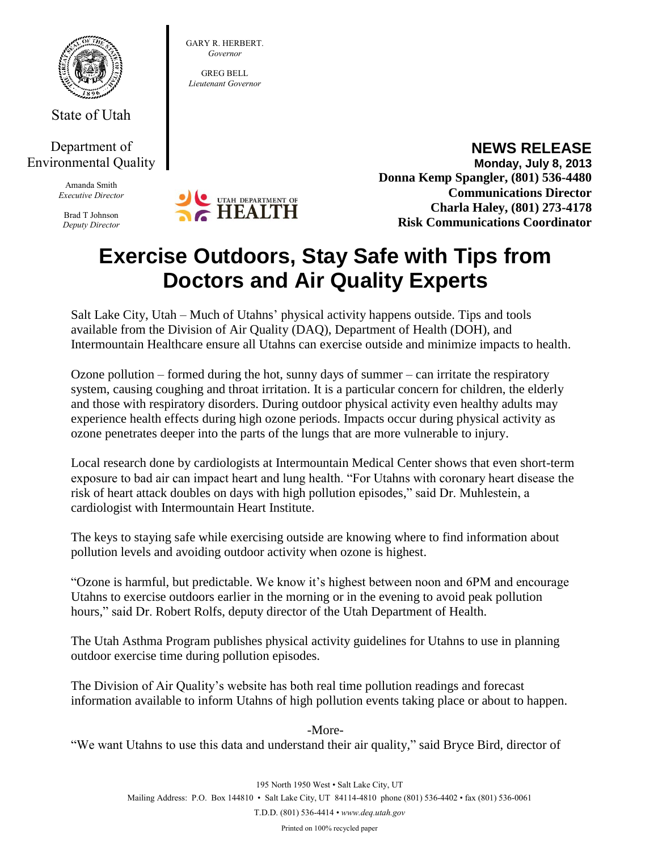

State of Utah

## Department of Environmental Quality

Amanda Smith *Executive Director*

Brad T Johnson *Deputy Director*



GARY R. HERBERT. *Governor* GREG BELL *Lieutenant Governor*

> **NEWS RELEASE Monday, July 8, 2013 Donna Kemp Spangler, (801) 536-4480 Communications Director Charla Haley, (801) 273-4178 Risk Communications Coordinator**

## **Exercise Outdoors, Stay Safe with Tips from Doctors and Air Quality Experts**

Salt Lake City, Utah – Much of Utahns' physical activity happens outside. Tips and tools available from the Division of Air Quality (DAQ), Department of Health (DOH), and Intermountain Healthcare ensure all Utahns can exercise outside and minimize impacts to health.

Ozone pollution – formed during the hot, sunny days of summer – can irritate the respiratory system, causing coughing and throat irritation. It is a particular concern for children, the elderly and those with respiratory disorders. During outdoor physical activity even healthy adults may experience health effects during high ozone periods. Impacts occur during physical activity as ozone penetrates deeper into the parts of the lungs that are more vulnerable to injury.

Local research done by cardiologists at Intermountain Medical Center shows that even short-term exposure to bad air can impact heart and lung health. "For Utahns with coronary heart disease the risk of heart attack doubles on days with high pollution episodes," said Dr. Muhlestein, a cardiologist with Intermountain Heart Institute.

The keys to staying safe while exercising outside are knowing where to find information about pollution levels and avoiding outdoor activity when ozone is highest.

"Ozone is harmful, but predictable. We know it's highest between noon and 6PM and encourage Utahns to exercise outdoors earlier in the morning or in the evening to avoid peak pollution hours," said Dr. Robert Rolfs, deputy director of the Utah Department of Health.

The Utah Asthma Program publishes physical activity guidelines for Utahns to use in planning outdoor exercise time during pollution episodes.

The Division of Air Quality's website has both real time pollution readings and forecast information available to inform Utahns of high pollution events taking place or about to happen.

-More- "We want Utahns to use this data and understand their air quality," said Bryce Bird, director of

Printed on 100% recycled paper